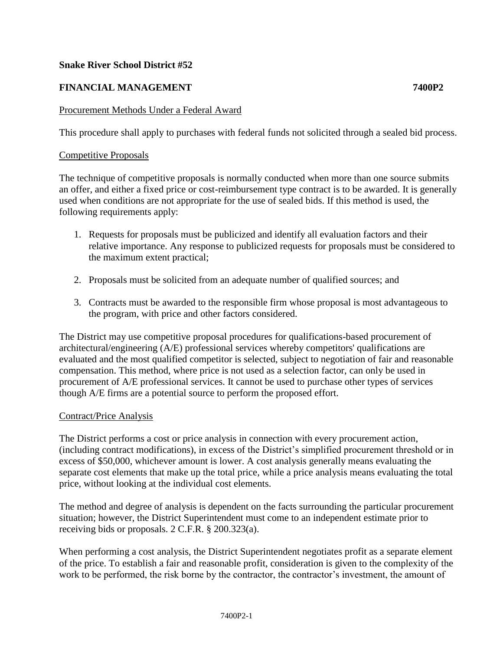# **Snake River School District #52**

# **FINANCIAL MANAGEMENT 7400P2**

## Procurement Methods Under a Federal Award

This procedure shall apply to purchases with federal funds not solicited through a sealed bid process.

## Competitive Proposals

The technique of competitive proposals is normally conducted when more than one source submits an offer, and either a fixed price or cost-reimbursement type contract is to be awarded. It is generally used when conditions are not appropriate for the use of sealed bids. If this method is used, the following requirements apply:

- 1. Requests for proposals must be publicized and identify all evaluation factors and their relative importance. Any response to publicized requests for proposals must be considered to the maximum extent practical;
- 2. Proposals must be solicited from an adequate number of qualified sources; and
- 3. Contracts must be awarded to the responsible firm whose proposal is most advantageous to the program, with price and other factors considered.

The District may use competitive proposal procedures for qualifications-based procurement of architectural/engineering (A/E) professional services whereby competitors' qualifications are evaluated and the most qualified competitor is selected, subject to negotiation of fair and reasonable compensation. This method, where price is not used as a selection factor, can only be used in procurement of A/E professional services. It cannot be used to purchase other types of services though A/E firms are a potential source to perform the proposed effort.

#### Contract/Price Analysis

The District performs a cost or price analysis in connection with every procurement action, (including contract modifications), in excess of the District's simplified procurement threshold or in excess of \$50,000, whichever amount is lower. A cost analysis generally means evaluating the separate cost elements that make up the total price, while a price analysis means evaluating the total price, without looking at the individual cost elements.

The method and degree of analysis is dependent on the facts surrounding the particular procurement situation; however, the District Superintendent must come to an independent estimate prior to receiving bids or proposals. 2 C.F.R. § 200.323(a).

When performing a cost analysis, the District Superintendent negotiates profit as a separate element of the price. To establish a fair and reasonable profit, consideration is given to the complexity of the work to be performed, the risk borne by the contractor, the contractor's investment, the amount of